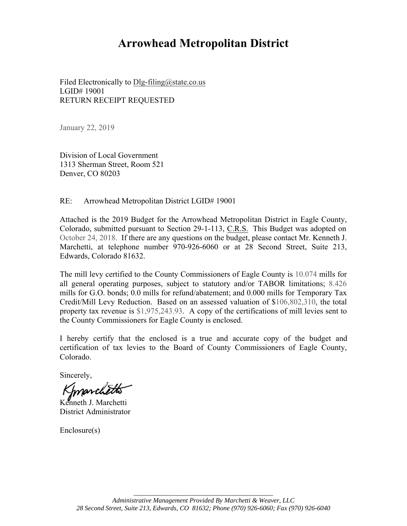# **Arrowhead Metropolitan District**

Filed Electronically to Dlg-filing@state.co.us LGID# 19001 RETURN RECEIPT REQUESTED

January 22, 2019

Division of Local Government 1313 Sherman Street, Room 521 Denver, CO 80203

RE: Arrowhead Metropolitan District LGID# 19001

Attached is the 2019 Budget for the Arrowhead Metropolitan District in Eagle County, Colorado, submitted pursuant to Section 29-1-113, C.R.S. This Budget was adopted on October 24, 2018. If there are any questions on the budget, please contact Mr. Kenneth J. Marchetti, at telephone number 970-926-6060 or at 28 Second Street, Suite 213, Edwards, Colorado 81632.

The mill levy certified to the County Commissioners of Eagle County is 10.074 mills for all general operating purposes, subject to statutory and/or TABOR limitations; 8.426 mills for G.O. bonds; 0.0 mills for refund/abatement; and 0.000 mills for Temporary Tax Credit/Mill Levy Reduction. Based on an assessed valuation of \$106,802,310, the total property tax revenue is \$1,975,243.93. A copy of the certifications of mill levies sent to the County Commissioners for Eagle County is enclosed.

I hereby certify that the enclosed is a true and accurate copy of the budget and certification of tax levies to the Board of County Commissioners of Eagle County, Colorado.

Sincerely,

Imarce

Kenneth J. Marchetti District Administrator

Enclosure(s)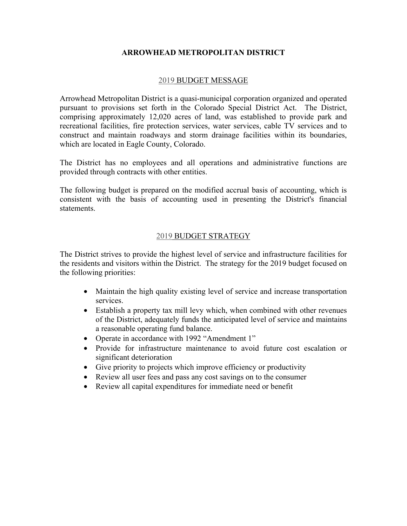#### **ARROWHEAD METROPOLITAN DISTRICT**

#### 2019 BUDGET MESSAGE

Arrowhead Metropolitan District is a quasi-municipal corporation organized and operated pursuant to provisions set forth in the Colorado Special District Act. The District, comprising approximately 12,020 acres of land, was established to provide park and recreational facilities, fire protection services, water services, cable TV services and to construct and maintain roadways and storm drainage facilities within its boundaries, which are located in Eagle County, Colorado.

The District has no employees and all operations and administrative functions are provided through contracts with other entities.

The following budget is prepared on the modified accrual basis of accounting, which is consistent with the basis of accounting used in presenting the District's financial statements.

#### 2019 BUDGET STRATEGY

The District strives to provide the highest level of service and infrastructure facilities for the residents and visitors within the District. The strategy for the 2019 budget focused on the following priorities:

- Maintain the high quality existing level of service and increase transportation services.
- Establish a property tax mill levy which, when combined with other revenues of the District, adequately funds the anticipated level of service and maintains a reasonable operating fund balance.
- Operate in accordance with 1992 "Amendment 1"
- Provide for infrastructure maintenance to avoid future cost escalation or significant deterioration
- Give priority to projects which improve efficiency or productivity
- Review all user fees and pass any cost savings on to the consumer
- Review all capital expenditures for immediate need or benefit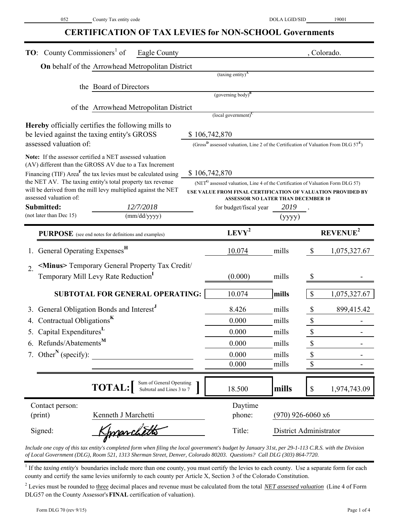#### **CERTIFICATION OF TAX LEVIES for NON-SCHOOL Governments**

| <b>TO:</b> County Commissioners <sup>1</sup> of<br>Eagle County                                                     |                                                                                                             |                     | , Colorado.                                                 |
|---------------------------------------------------------------------------------------------------------------------|-------------------------------------------------------------------------------------------------------------|---------------------|-------------------------------------------------------------|
| <b>On</b> behalf of the Arrowhead Metropolitan District                                                             |                                                                                                             |                     |                                                             |
|                                                                                                                     | $(taxing entity)^{A}$                                                                                       |                     |                                                             |
| the Board of Directors                                                                                              | $(governing body)^B$                                                                                        |                     |                                                             |
|                                                                                                                     |                                                                                                             |                     |                                                             |
| of the Arrowhead Metropolitan District                                                                              | $\left($ local government $\right)^C$                                                                       |                     |                                                             |
| <b>Hereby</b> officially certifies the following mills to                                                           |                                                                                                             |                     |                                                             |
| be levied against the taxing entity's GROSS                                                                         | \$106,742,870                                                                                               |                     |                                                             |
| assessed valuation of:                                                                                              | (Gross <sup>D</sup> assessed valuation, Line 2 of the Certification of Valuation From DLG $57^{\text{E}}$ ) |                     |                                                             |
| Note: If the assessor certified a NET assessed valuation<br>(AV) different than the GROSS AV due to a Tax Increment |                                                                                                             |                     |                                                             |
| Financing (TIF) Area <sup>F</sup> the tax levies must be calculated using                                           | \$106,742,870                                                                                               |                     |                                                             |
| the NET AV. The taxing entity's total property tax revenue                                                          | (NET <sup>G</sup> assessed valuation, Line 4 of the Certification of Valuation Form DLG 57)                 |                     |                                                             |
| will be derived from the mill levy multiplied against the NET<br>assessed valuation of:                             | <b>ASSESSOR NO LATER THAN DECEMBER 10</b>                                                                   |                     | USE VALUE FROM FINAL CERTIFICATION OF VALUATION PROVIDED BY |
| Submitted:<br>12/7/2018                                                                                             | for budget/fiscal year                                                                                      | 2019                |                                                             |
| (not later than Dec 15)<br>(mm/dd/yyyy)                                                                             |                                                                                                             | (yyyy)              |                                                             |
| <b>PURPOSE</b> (see end notes for definitions and examples)                                                         | $LEVY^2$                                                                                                    |                     | REVENUE <sup>2</sup>                                        |
| General Operating Expenses <sup>H</sup>                                                                             | 10.074                                                                                                      | mills               | $\mathcal{S}$<br>1,075,327.67                               |
| <minus> Temporary General Property Tax Credit/<br/><math>\overline{2}</math>.</minus>                               |                                                                                                             |                     |                                                             |
| Temporary Mill Levy Rate Reduction                                                                                  | (0.000)                                                                                                     | mills               | \$                                                          |
|                                                                                                                     |                                                                                                             |                     |                                                             |
| <b>SUBTOTAL FOR GENERAL OPERATING:</b>                                                                              | 10.074                                                                                                      | mills               | \$<br>1,075,327.67                                          |
| General Obligation Bonds and Interest <sup>J</sup><br>3.                                                            | 8.426                                                                                                       | mills               | 899,415.42<br>\$                                            |
| Contractual Obligations <sup>K</sup>                                                                                | 0.000                                                                                                       | mills               | \$                                                          |
| Capital Expenditures <sup>L</sup>                                                                                   | 0.000                                                                                                       | mills               | \$                                                          |
| 6. Refunds/Abatements <sup>M</sup>                                                                                  | 0.000                                                                                                       | mills               | \$                                                          |
| 7. Other <sup>N</sup> (specify):                                                                                    | 0.000                                                                                                       | mills               | \$                                                          |
|                                                                                                                     | 0.000                                                                                                       | mills               | \$                                                          |
| Sum of General Operating<br><b>TOTAL:</b><br>Subtotal and Lines 3 to 7                                              | 18.500                                                                                                      | mills               | $\$$<br>1,974,743.09                                        |
|                                                                                                                     |                                                                                                             |                     |                                                             |
| Contact person:<br>(print)<br>Kenneth J Marchetti                                                                   | Daytime<br>phone:                                                                                           | $(970)$ 926-6060 x6 |                                                             |
| Kppparchetts<br>Signed:                                                                                             | Title:                                                                                                      |                     | District Administrator                                      |
|                                                                                                                     |                                                                                                             |                     |                                                             |

*Include one copy of this tax entity's completed form when filing the local government's budget by January 31st, per 29-1-113 C.R.S. with the Division of Local Government (DLG), Room 521, 1313 Sherman Street, Denver, Colorado 80203. Questions? Call DLG (303) 864-7720.*

<sup>1</sup> If the *taxing entity's* boundaries include more than one county, you must certify the levies to each county. Use a separate form for each county and certify the same levies uniformly to each county per Article X, Section 3 of the Colorado Constitution.

<sup>2</sup> Levies must be rounded to three decimal places and revenue must be calculated from the total *NET assessed valuation* (Line 4 of Form DLG57 on the County Assessor's **FINAL** certification of valuation).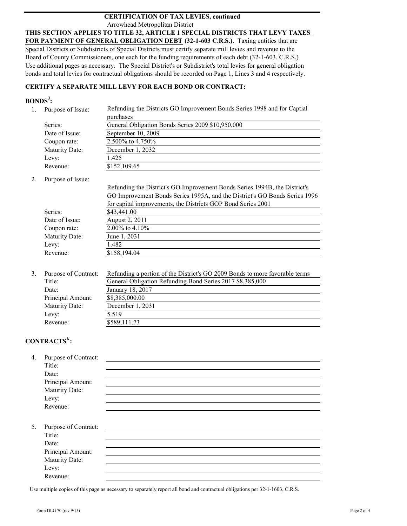#### Arrowhead Metropolitan District **CERTIFICATION OF TAX LEVIES, continued**

#### **THIS SECTION APPLIES TO TITLE 32, ARTICLE 1 SPECIAL DISTRICTS THAT LEVY TAXES**

**FOR PAYMENT OF GENERAL OBLIGATION DEBT (32-1-603 C.R.S.)**. Taxing entities that are Special Districts or Subdistricts of Special Districts must certify separate mill levies and revenue to the Board of County Commissioners, one each for the funding requirements of each debt (32-1-603, C.R.S.) Use additional pages as necessary. The Special District's or Subdistrict's total levies for general obligation bonds and total levies for contractual obligations should be recorded on Page 1, Lines 3 and 4 respectively.

#### **CERTIFY A SEPARATE MILL LEVY FOR EACH BOND OR CONTRACT:**

#### **BONDS<sup>J</sup> :**

| Purpose of Issue: | Refunding the Districts GO Improvement Bonds Series 1998 and for Captial |  |  |  |  |
|-------------------|--------------------------------------------------------------------------|--|--|--|--|
|                   | purchases                                                                |  |  |  |  |
| Series:           | General Obligation Bonds Series 2009 \$10,950,000                        |  |  |  |  |
| Date of Issue:    | September 10, 2009                                                       |  |  |  |  |
| Coupon rate:      | 2.500\% to 4.750\%                                                       |  |  |  |  |
| Maturity Date:    | December 1, 2032                                                         |  |  |  |  |
| Levy:             | 1.425                                                                    |  |  |  |  |
| Revenue:          | \$152,109.65                                                             |  |  |  |  |

2. Purpose of Issue:

|                | Refunding the District's GO Improvement Bonds Series 1994B, the District's<br>GO Improvement Bonds Series 1995A, and the District's GO Bonds Series 1996 |
|----------------|----------------------------------------------------------------------------------------------------------------------------------------------------------|
|                | for capital improvements, the Districts GOP Bond Series 2001                                                                                             |
| Series:        | \$43,441.00                                                                                                                                              |
| Date of Issue: | August 2, 2011                                                                                                                                           |
| Coupon rate:   | 2.00% to 4.10%                                                                                                                                           |
| Maturity Date: | June 1, 2031                                                                                                                                             |
| Levy:          | 1.482                                                                                                                                                    |
| Revenue:       | \$158,194.04                                                                                                                                             |
|                |                                                                                                                                                          |

| Purpose of Contract: | Refunding a portion of the District's GO 2009 Bonds to more favorable terms |
|----------------------|-----------------------------------------------------------------------------|
| Title:               | General Obligation Refunding Bond Series 2017 \$8,385,000                   |
| Date:                | January 18, 2017                                                            |
| Principal Amount:    | \$8,385,000.00                                                              |
| Maturity Date:       | December 1, 2031                                                            |
| Levy:                | 5.519                                                                       |
| Revenue:             | \$589,111.73                                                                |
|                      |                                                                             |

## **CONTRACTSK:**

| 4. | Purpose of Contract: |  |  |  |
|----|----------------------|--|--|--|
|    | Title:               |  |  |  |
|    | Date:                |  |  |  |
|    | Principal Amount:    |  |  |  |
|    | Maturity Date:       |  |  |  |
|    | Levy:                |  |  |  |
|    | Revenue:             |  |  |  |
|    |                      |  |  |  |
| 5. | Purpose of Contract: |  |  |  |
|    | Title:               |  |  |  |
|    | Date:                |  |  |  |
|    | Principal Amount:    |  |  |  |
|    | Maturity Date:       |  |  |  |
|    | Levy:                |  |  |  |
|    | Revenue:             |  |  |  |
|    |                      |  |  |  |

Use multiple copies of this page as necessary to separately report all bond and contractual obligations per 32-1-1603, C.R.S.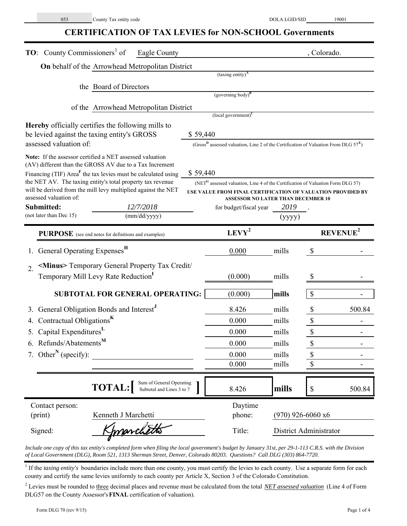## **CERTIFICATION OF TAX LEVIES for NON-SCHOOL Governments**

| <b>TO:</b> County Commissioners <sup>1</sup> of<br>Eagle County                                                                      |          |                                                                                                             |                     | , Colorado.            |        |
|--------------------------------------------------------------------------------------------------------------------------------------|----------|-------------------------------------------------------------------------------------------------------------|---------------------|------------------------|--------|
| On behalf of the Arrowhead Metropolitan District                                                                                     |          |                                                                                                             |                     |                        |        |
|                                                                                                                                      |          | $(taxing entity)^A$                                                                                         |                     |                        |        |
| the Board of Directors                                                                                                               |          |                                                                                                             |                     |                        |        |
|                                                                                                                                      |          | $(governing body)^B$                                                                                        |                     |                        |        |
| of the Arrowhead Metropolitan District                                                                                               |          | $\left($ local government $\right)^{C}$                                                                     |                     |                        |        |
| <b>Hereby</b> officially certifies the following mills to                                                                            |          |                                                                                                             |                     |                        |        |
| be levied against the taxing entity's GROSS                                                                                          | \$59,440 |                                                                                                             |                     |                        |        |
| assessed valuation of:                                                                                                               |          | (Gross <sup>B</sup> assessed valuation, Line 2 of the Certification of Valuation From DLG $57^{\text{E}}$ ) |                     |                        |        |
| Note: If the assessor certified a NET assessed valuation                                                                             |          |                                                                                                             |                     |                        |        |
| (AV) different than the GROSS AV due to a Tax Increment<br>Financing (TIF) Area <sup>F</sup> the tax levies must be calculated using | \$59,440 |                                                                                                             |                     |                        |        |
| the NET AV. The taxing entity's total property tax revenue                                                                           |          | (NET <sup>G</sup> assessed valuation, Line 4 of the Certification of Valuation Form DLG 57)                 |                     |                        |        |
| will be derived from the mill levy multiplied against the NET                                                                        |          | USE VALUE FROM FINAL CERTIFICATION OF VALUATION PROVIDED BY                                                 |                     |                        |        |
| assessed valuation of:<br>Submitted:<br>12/7/2018                                                                                    |          | <b>ASSESSOR NO LATER THAN DECEMBER 10</b><br>for budget/fiscal year                                         | 2019                |                        |        |
| (not later than Dec 15)<br>(mm/dd/yyyy)                                                                                              |          |                                                                                                             | (yyyy)              |                        |        |
| <b>PURPOSE</b> (see end notes for definitions and examples)                                                                          |          | $LEVY^2$                                                                                                    |                     | REVENUE <sup>2</sup>   |        |
|                                                                                                                                      |          |                                                                                                             |                     |                        |        |
| General Operating Expenses <sup>H</sup>                                                                                              |          | 0.000                                                                                                       | mills               | $\mathcal{S}$          |        |
| <minus> Temporary General Property Tax Credit/<br/><math>\mathcal{D}_{\alpha}</math></minus>                                         |          |                                                                                                             |                     |                        |        |
| Temporary Mill Levy Rate Reduction <sup>1</sup>                                                                                      |          | (0.000)                                                                                                     | mills               | \$                     |        |
| <b>SUBTOTAL FOR GENERAL OPERATING:</b>                                                                                               |          | (0.000)                                                                                                     | mills               | \$                     |        |
| General Obligation Bonds and Interest <sup>J</sup>                                                                                   |          | 8.426                                                                                                       | mills               | \$                     | 500.84 |
| Contractual Obligations <sup>K</sup>                                                                                                 |          | 0.000                                                                                                       | mills               | $\mathbb S$            |        |
| Capital Expenditures <sup>L</sup>                                                                                                    |          | 0.000                                                                                                       | mills               | \$                     |        |
| 6. Refunds/Abatements <sup>M</sup>                                                                                                   |          | 0.000                                                                                                       | mills               | \$                     |        |
| 7. Other <sup>N</sup> (specify):                                                                                                     |          | 0.000                                                                                                       | mills               | \$                     |        |
|                                                                                                                                      |          | 0.000                                                                                                       | mills               | \$                     |        |
| Sum of General Operating<br><b>TOTAL:</b><br>Subtotal and Lines 3 to 7                                                               |          | 8.426                                                                                                       | mills               | \$                     | 500.84 |
| Contact person:                                                                                                                      |          | Daytime                                                                                                     |                     |                        |        |
| (print)<br>Kenneth J Marchetti                                                                                                       |          | phone:                                                                                                      | $(970)$ 926-6060 x6 |                        |        |
| Imarchetts<br>Signed:                                                                                                                |          | Title:                                                                                                      |                     | District Administrator |        |

*Include one copy of this tax entity's completed form when filing the local government's budget by January 31st, per 29-1-113 C.R.S. with the Division of Local Government (DLG), Room 521, 1313 Sherman Street, Denver, Colorado 80203. Questions? Call DLG (303) 864-7720.*

<sup>1</sup> If the *taxing entity's* boundaries include more than one county, you must certify the levies to each county. Use a separate form for each county and certify the same levies uniformly to each county per Article X, Section 3 of the Colorado Constitution.

<sup>2</sup> Levies must be rounded to three decimal places and revenue must be calculated from the total *NET assessed valuation* (Line 4 of Form DLG57 on the County Assessor's **FINAL** certification of valuation).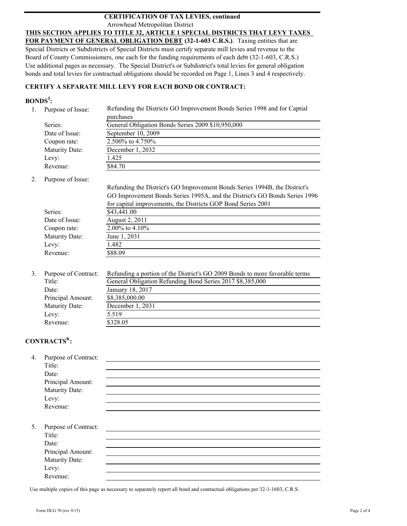#### Arrowhead Metropolitan District **CERTIFICATION OF TAX LEVIES, continued**

#### **THIS SECTION APPLIES TO TITLE 32, ARTICLE 1 SPECIAL DISTRICTS THAT LEVY TAXES**

**FOR PAYMENT OF GENERAL OBLIGATION DEBT (32-1-603 C.R.S.)**. Taxing entities that are Special Districts or Subdistricts of Special Districts must certify separate mill levies and revenue to the Board of County Commissioners, one each for the funding requirements of each debt (32-1-603, C.R.S.) Use additional pages as necessary. The Special District's or Subdistrict's total levies for general obligation bonds and total levies for contractual obligations should be recorded on Page 1, Lines 3 and 4 respectively.

#### **CERTIFY A SEPARATE MILL LEVY FOR EACH BOND OR CONTRACT:**

#### **BONDS<sup>J</sup> :**

| Purpose of Issue: | Refunding the Districts GO Improvement Bonds Series 1998 and for Captial |  |  |  |  |
|-------------------|--------------------------------------------------------------------------|--|--|--|--|
|                   | purchases                                                                |  |  |  |  |
| Series:           | General Obligation Bonds Series 2009 \$10,950,000                        |  |  |  |  |
| Date of Issue:    | September 10, 2009                                                       |  |  |  |  |
| Coupon rate:      | 2.500\% to 4.750\%                                                       |  |  |  |  |
| Maturity Date:    | December 1, 2032                                                         |  |  |  |  |
| Levy:             | 1.425                                                                    |  |  |  |  |
| Revenue:          | \$84.70                                                                  |  |  |  |  |

2. Purpose of Issue:

|                | Refunding the District's GO Improvement Bonds Series 1994B, the District's |
|----------------|----------------------------------------------------------------------------|
|                | GO Improvement Bonds Series 1995A, and the District's GO Bonds Series 1996 |
|                | for capital improvements, the Districts GOP Bond Series 2001               |
| Series:        | \$43,441.00                                                                |
| Date of Issue: | August 2, 2011                                                             |
| Coupon rate:   | 2.00% to $4.10\%$                                                          |
| Maturity Date: | June 1, 2031                                                               |
| Levy:          | 1.482                                                                      |
| Revenue:       | \$88.09                                                                    |

| Purpose of Contract: | Refunding a portion of the District's GO 2009 Bonds to more favorable terms |
|----------------------|-----------------------------------------------------------------------------|
| Title:               | General Obligation Refunding Bond Series 2017 \$8,385,000                   |
| Date:                | January 18, 2017                                                            |
| Principal Amount:    | \$8,385,000.00                                                              |
| Maturity Date:       | December 1, 2031                                                            |
| Levy:                | 5.519                                                                       |
| Revenue:             | \$328.05                                                                    |
|                      |                                                                             |

## **CONTRACTSK:**

| 4. | Purpose of Contract: |  |  |  |
|----|----------------------|--|--|--|
|    | Title:               |  |  |  |
|    | Date:                |  |  |  |
|    | Principal Amount:    |  |  |  |
|    | Maturity Date:       |  |  |  |
|    | Levy:                |  |  |  |
|    | Revenue:             |  |  |  |
|    |                      |  |  |  |
| 5. | Purpose of Contract: |  |  |  |
|    | Title:               |  |  |  |
|    | Date:                |  |  |  |
|    | Principal Amount:    |  |  |  |
|    | Maturity Date:       |  |  |  |
|    | Levy:                |  |  |  |
|    | Revenue:             |  |  |  |
|    |                      |  |  |  |

Use multiple copies of this page as necessary to separately report all bond and contractual obligations per 32-1-1603, C.R.S.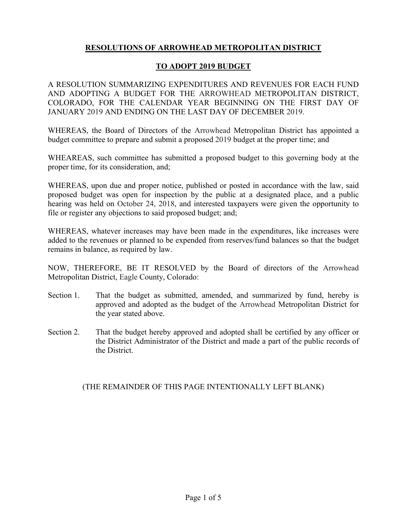## **RESOLUTIONS OF ARROWHEAD METROPOLITAN DISTRICT**

#### **TO ADOPT 2019 BUDGET**

A RESOLUTION SUMMARIZING EXPENDITURES AND REVENUES FOR EACH FUND AND ADOPTING A BUDGET FOR THE ARROWHEAD METROPOLITAN DISTRICT, COLORADO, FOR THE CALENDAR YEAR BEGINNING ON THE FIRST DAY OF JANUARY 2019 AND ENDING ON THE LAST DAY OF DECEMBER 2019.

WHEREAS, the Board of Directors of the Arrowhead Metropolitan District has appointed a budget committee to prepare and submit a proposed 2019 budget at the proper time; and

WHEAREAS, such committee has submitted a proposed budget to this governing body at the proper time, for its consideration, and;

WHEREAS, upon due and proper notice, published or posted in accordance with the law, said proposed budget was open for inspection by the public at a designated place, and a public hearing was held on October 24, 2018, and interested taxpayers were given the opportunity to file or register any objections to said proposed budget; and;

WHEREAS, whatever increases may have been made in the expenditures, like increases were added to the revenues or planned to be expended from reserves/fund balances so that the budget remains in balance, as required by law.

NOW, THEREFORE, BE IT RESOLVED by the Board of directors of the Arrowhead Metropolitan District, Eagle County, Colorado:

- Section 1. That the budget as submitted, amended, and summarized by fund, hereby is approved and adopted as the budget of the Arrowhead Metropolitan District for the year stated above.
- Section 2. That the budget hereby approved and adopted shall be certified by any officer or the District Administrator of the District and made a part of the public records of the District.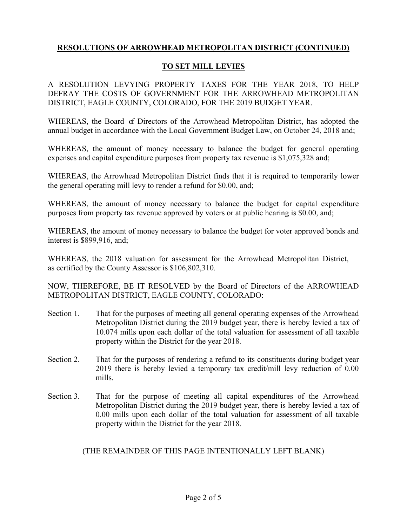## **TO SET MILL LEVIES**

A RESOLUTION LEVYING PROPERTY TAXES FOR THE YEAR 2018, TO HELP DEFRAY THE COSTS OF GOVERNMENT FOR THE ARROWHEAD METROPOLITAN DISTRICT, EAGLE COUNTY, COLORADO, FOR THE 2019 BUDGET YEAR.

WHEREAS, the Board of Directors of the Arrowhead Metropolitan District, has adopted the annual budget in accordance with the Local Government Budget Law, on October 24, 2018 and;

WHEREAS, the amount of money necessary to balance the budget for general operating expenses and capital expenditure purposes from property tax revenue is \$1,075,328 and;

WHEREAS, the Arrowhead Metropolitan District finds that it is required to temporarily lower the general operating mill levy to render a refund for \$0.00, and;

WHEREAS, the amount of money necessary to balance the budget for capital expenditure purposes from property tax revenue approved by voters or at public hearing is \$0.00, and;

WHEREAS, the amount of money necessary to balance the budget for voter approved bonds and interest is \$899,916, and;

WHEREAS, the 2018 valuation for assessment for the Arrowhead Metropolitan District, as certified by the County Assessor is \$106,802,310.

NOW, THEREFORE, BE IT RESOLVED by the Board of Directors of the ARROWHEAD METROPOLITAN DISTRICT, EAGLE COUNTY, COLORADO:

- Section 1. That for the purposes of meeting all general operating expenses of the Arrowhead Metropolitan District during the 2019 budget year, there is hereby levied a tax of 10.074 mills upon each dollar of the total valuation for assessment of all taxable property within the District for the year 2018.
- Section 2. That for the purposes of rendering a refund to its constituents during budget year 2019 there is hereby levied a temporary tax credit/mill levy reduction of 0.00 mills.
- Section 3. That for the purpose of meeting all capital expenditures of the Arrowhead Metropolitan District during the 2019 budget year, there is hereby levied a tax of 0.00 mills upon each dollar of the total valuation for assessment of all taxable property within the District for the year 2018.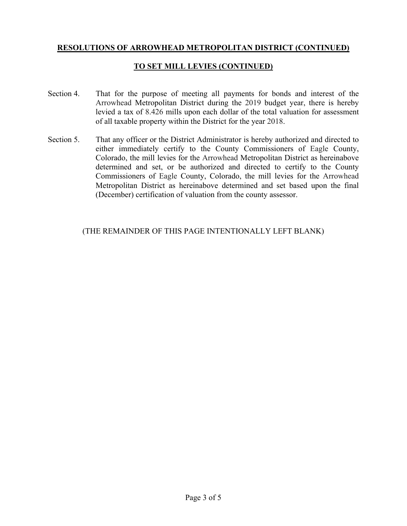## **TO SET MILL LEVIES (CONTINUED)**

- Section 4. That for the purpose of meeting all payments for bonds and interest of the Arrowhead Metropolitan District during the 2019 budget year, there is hereby levied a tax of 8.426 mills upon each dollar of the total valuation for assessment of all taxable property within the District for the year 2018.
- Section 5. That any officer or the District Administrator is hereby authorized and directed to either immediately certify to the County Commissioners of Eagle County, Colorado, the mill levies for the Arrowhead Metropolitan District as hereinabove determined and set, or be authorized and directed to certify to the County Commissioners of Eagle County, Colorado, the mill levies for the Arrowhead Metropolitan District as hereinabove determined and set based upon the final (December) certification of valuation from the county assessor.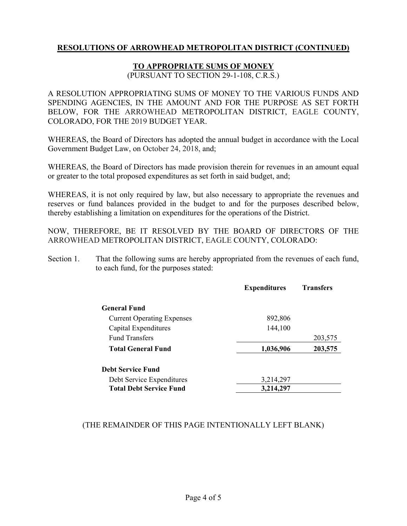#### **TO APPROPRIATE SUMS OF MONEY**

(PURSUANT TO SECTION 29-1-108, C.R.S.)

A RESOLUTION APPROPRIATING SUMS OF MONEY TO THE VARIOUS FUNDS AND SPENDING AGENCIES, IN THE AMOUNT AND FOR THE PURPOSE AS SET FORTH BELOW, FOR THE ARROWHEAD METROPOLITAN DISTRICT, EAGLE COUNTY, COLORADO, FOR THE 2019 BUDGET YEAR.

WHEREAS, the Board of Directors has adopted the annual budget in accordance with the Local Government Budget Law, on October 24, 2018, and;

WHEREAS, the Board of Directors has made provision therein for revenues in an amount equal or greater to the total proposed expenditures as set forth in said budget, and;

WHEREAS, it is not only required by law, but also necessary to appropriate the revenues and reserves or fund balances provided in the budget to and for the purposes described below, thereby establishing a limitation on expenditures for the operations of the District.

NOW, THEREFORE, BE IT RESOLVED BY THE BOARD OF DIRECTORS OF THE ARROWHEAD METROPOLITAN DISTRICT, EAGLE COUNTY, COLORADO:

Section 1. That the following sums are hereby appropriated from the revenues of each fund, to each fund, for the purposes stated:

|                                   | <b>Expenditures</b> | <b>Transfers</b> |
|-----------------------------------|---------------------|------------------|
| <b>General Fund</b>               |                     |                  |
| <b>Current Operating Expenses</b> | 892,806             |                  |
| Capital Expenditures              | 144,100             |                  |
| <b>Fund Transfers</b>             |                     | 203,575          |
| <b>Total General Fund</b>         | 1,036,906           | 203,575          |
| <b>Debt Service Fund</b>          |                     |                  |
| Debt Service Expenditures         | 3,214,297           |                  |
| <b>Total Debt Service Fund</b>    | 3,214,297           |                  |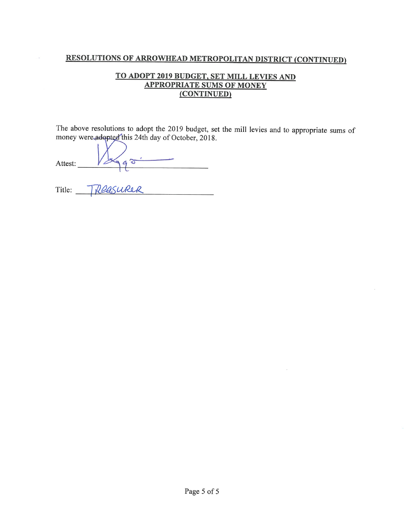## TO ADOPT 2019 BUDGET, SET MILL LEVIES AND **APPROPRIATE SUMS OF MONEY** (CONTINUED)

The above resolutions to adopt the 2019 budget, set the mill levies and to appropriate sums of money were adopted this 24th day of October, 2018.

| Attest: |  |
|---------|--|
|         |  |

à.

| Title: | TDRASURER |  |
|--------|-----------|--|
|        |           |  |

 $\alpha$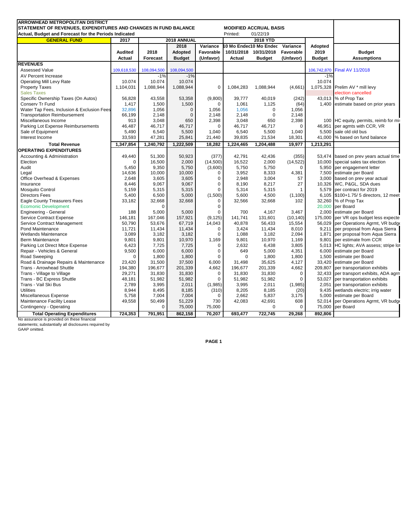| <b>ARROWHEAD METROPOLITAN DISTRICT</b>                          |                     |                 |                  |                 |             |                                 |              |               |                                         |
|-----------------------------------------------------------------|---------------------|-----------------|------------------|-----------------|-------------|---------------------------------|--------------|---------------|-----------------------------------------|
| STATEMENT OF REVENUES, EXPENDITURES AND CHANGES IN FUND BALANCE |                     |                 |                  |                 |             | <b>MODIFIED ACCRUAL BASIS</b>   |              |               |                                         |
| Actual, Budget and Forecast for the Periods Indicated           |                     |                 |                  |                 | Printed:    | 01/22/19                        |              |               |                                         |
| <b>GENERAL FUND</b>                                             | 2017<br>2018 ANNUAL |                 |                  | <b>2018 YTD</b> |             |                                 |              |               |                                         |
|                                                                 |                     |                 | 2018<br>Variance |                 |             | 10 Mo Endec10 Mo Ended Variance |              | Adopted       |                                         |
|                                                                 | <b>Audited</b>      | 2018            | Adopted          | Favorable       |             | 10/31/2018 10/31/2018           | Favorable    | 2019          | <b>Budget</b>                           |
|                                                                 | <b>Actual</b>       | <b>Forecast</b> | <b>Budget</b>    | (Unfavor)       | Actual      | <b>Budget</b>                   | (Unfavor)    | <b>Budget</b> | <b>Assumptions</b>                      |
| <b>REVENUES</b>                                                 |                     |                 |                  |                 |             |                                 |              |               |                                         |
| <b>Assessed Value</b>                                           | 109,618,530         | 108,094,500     | 108,094,500      |                 |             |                                 |              |               | 106,742,870 Final AV 11/2018            |
| AV Percent Increase                                             |                     | $-1%$           | $-1%$            |                 |             |                                 |              | $-1%$         |                                         |
| <b>Operating Mill Levy Rate</b>                                 | 10.074              | 10.074          | 10.074           |                 |             |                                 |              | 10.074        |                                         |
| <b>Property Taxes</b>                                           | 1,104,031           | 1,088,944       | 1,088,944        | $\mathbf 0$     | 1,084,283   | 1,088,944                       | (4,661)      |               | 1,075,328 Prelim AV * mill levy         |
| <b>Sales Taxes</b>                                              |                     |                 |                  |                 |             |                                 |              |               | election cancelled                      |
| Specific Ownership Taxes (On Autos)                             | 56,828              | 43,558          | 53,358           | (9,800)         | 39,777      | 40,019                          | (242)        |               | 43,013 % of Prop Tax                    |
| Conserv Tr Fund                                                 | 1,417               | 1,500           | 1,500            | 0               | 1,061       | 1,125                           | (64)         |               | 1,400 estimate based on prior years     |
| Water Tap Fees, Inclusion & Exclusion Fees                      | 32,896              | 1,056           | $\mathbf{0}$     | 1,056           | 1,056       | $\mathbf 0$                     | 1,056        |               |                                         |
| <b>Transportation Reimbursement</b>                             | 66,199              | 2,148           | $\Omega$         | 2,148           | 2.148       | $\Omega$                        | 2.148        |               |                                         |
| Miscellaneous Income                                            | 913                 | 3,048           | 650              | 2,398           | 3,048       | 650                             | 2,398        |               | 100 HC equity, permits, reimb for mis   |
| Parking Lot Expense Reimbursements                              | 46,487              | 46,717          | 46,717           | $\mathbf 0$     | 46,717      | 46,717                          | $\Omega$     | 46,951        | per agmts with CCR, VR                  |
| Sale of Equipment                                               | 5,490               | 6,540           | 5,500            | 1,040           | 6,540       | 5,500                           | 1,040        | 5,500         | sale old old bus                        |
| Interest Income                                                 | 33,593              | 47,281          | 25,841           | 21,440          | 39,835      | 21,534                          | 18,301       | 41,000        | % based on fund balance                 |
| <b>Total Revenue</b>                                            | 1,347,854           | 1,240,792       | 1,222,509        | 18,282          | 1,224,465   | 1,204,488                       | 19,977       | 1,213,291     |                                         |
| <b>OPERATING EXPENDITURES</b>                                   |                     |                 |                  |                 |             |                                 |              |               |                                         |
| Accounting & Administration                                     | 49,440              | 51,300          | 50,923           | (377)           | 42,791      | 42,436                          | (355)        | 53,474        | based on prev years actual time         |
| Election                                                        | $\Omega$            | 16,500          | 2,000            | (14,500)        | 16,522      | 2,000                           | (14, 522)    |               | 10,000 special sales tax election       |
| Audit                                                           | 5,450               | 9,350           | 5,750            | (3,600)         | 5,750       | 5,750                           | $\mathbf 0$  |               | 5,950 per engagement letter             |
| Legal                                                           | 14,636              | 10,000          | 10,000           | 0               | 3,952       | 8,333                           | 4,381        | 7,500         | estimate per Board                      |
| Office Overhead & Expenses                                      | 2,648               | 3,605           | 3,605            | $\mathbf 0$     | 2,948       | 3,004                           | 57           |               | 3,000 based on prev year actual         |
| Insurance                                                       | 8,446               | 9,067           | 9,067            | $\mathbf 0$     | 8,190       | 8,217                           | 27           | 10,326        | WC, P&GL, SDA dues                      |
| <b>Mosquito Control</b>                                         | 5,159               | 5,315           | 5,315            | $\Omega$        | 5,314       | 5,315                           | $\mathbf{1}$ |               | 5,579 per contract for 2019             |
| <b>Directors Fees</b>                                           | 5,400               | 6,500           | 5,000            | (1,500)         | 5,600       | 4,500                           | (1, 100)     |               | 6,105 \$100+1.75/ 5 directors, 12 meet  |
| <b>Eagle County Treasurers Fees</b>                             | 33,182              | 32,668          | 32,668           | 0               | 32,566      | 32,668                          | 102          |               | 32,260 % of Prop Tax                    |
| <b>Ecomonic Development</b>                                     |                     | $\Omega$        |                  | $\mathbf 0$     |             |                                 |              |               | 20,000 per Board                        |
| <b>Engineering - General</b>                                    | 188                 | 5,000           | 5,000            | $\mathbf 0$     | 700         | 4,167                           | 3,467        | 2,000         | estimate per Board                      |
| Service Contract Expense                                        | 146,181             | 167,046         | 157,921          | (9, 125)        | 141,741     | 131,601                         | (10, 140)    | 175,000       | per VR ops budget less expecte          |
| Service Contract Management                                     | 50,790              | 53,676          | 67,719           | 14,043          | 40,878      | 56,433                          | 15,554       |               | 56,029 per Operations Agrmt, VR budge   |
| Pond Maintenance                                                | 11,721              | 11,434          | 11,434           | $\mathbf 0$     | 3,424       | 11,434                          | 8,010        | 9,211         | per proposal from Aqua Sierra           |
| <b>Wetlands Maintenance</b>                                     | 3,089               | 3,182           | 3,182            | $\Omega$        | 1,088       | 3,182                           | 2,094        |               | 1,871 per proposal from Aqua Sierra     |
| Berm Maintenance                                                | 9.801               | 9,801           | 10,970           | 1,169           | 9,801       | 10,970                          | 1,169        | 9.801         | per estimate from CCR                   |
| Parking Lot Direct Mtce Expense                                 | 6,423               | 7,725           | 7,725            | $\mathbf 0$     | 2,632       | 6,438                           | 3,805        |               | 5,013 HC lights; AVA assess; stripe lot |
| Repair - Vehicles & General                                     | 9,500               | 6,000           | 6,000            | $\mathbf 0$     | 649         | 5,000                           | 4,351        | 6,000         | estimate per Board                      |
| Road Sweeping                                                   | $\Omega$            | 1,800           | 1,800            | $\mathbf 0$     | $\mathbf 0$ | 1,800                           | 1,800        | 1,500         | estimate per Board                      |
| Road & Drainage Repairs & Maintenance                           | 23,420              | 31,500          | 37,500           | 6,000           | 31,498      | 35,625                          | 4,127        |               | 33,420 estimate per Board               |
| Trans - Arrowhead Shuttle                                       | 194,380             | 196,677         | 201,339          | 4,662           | 196,677     | 201,339                         | 4,662        | 209,807       | per transportation exhibits             |
| Trans - Village to Village                                      | 29,271              | 31,830          | 31,830           | 0               | 31,830      | 31,830                          | 0            |               | 32,433 per transport exhibits, ADA agrn |
| Trans - BC Express Shuttle                                      | 48,181              | 51,982          | 51,982           | $\mathbf 0$     | 51,982      | 51,982                          | $\Omega$     |               | 53,027 per transportation exhibits      |
| Trans - Vail Ski Bus                                            | 2,789               | 3,995           | 2,011            | (1,985)         | 3,995       | 2,011                           | (1,985)      | 2,051         | per transportation exhibits             |
| <b>Utilities</b>                                                | 8,944               | 8,495           | 8.185            | (310)           | 8,205       | 8,185                           | (20)         |               | 9,435 wetlands electric; irrig water    |
| Miscellaneous Expense                                           | 5,758               | 7,004           | 7,004            | 0               | 2,662       | 5,837                           | 3,175        | 5,000         | estimate per Board                      |
| Maintenance Facility Lease                                      | 49,558              | 50,499          | 51,229           | 730             | 42,083      | 42,691                          | 608          | 52,014        | per Operations Agrmt, VR budge          |
| Contingency - Operating                                         |                     | $\mathbf 0$     | 75,000           | 75,000          |             | 0                               | 0            | 75,000        | per Board                               |
| <b>Total Operating Expenditures</b>                             | 724,353             | 791,951         | 862,158          | 70,207          | 693,477     | 722,745                         | 29.268       | 892,806       |                                         |
|                                                                 |                     |                 |                  |                 |             |                                 |              |               |                                         |

No assurance is provided on these financial statements; substantially all disclosures required by GAAP omitted.

**PAGE 1**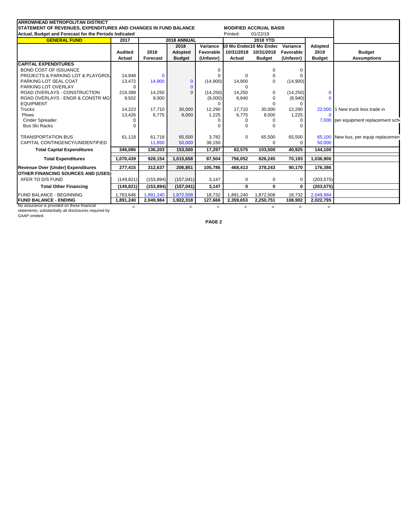| <b>ARROWHEAD METROPOLITAN DISTRICT</b>                          |                     |                  |               |                                    |              |                               |                  |               |                                       |
|-----------------------------------------------------------------|---------------------|------------------|---------------|------------------------------------|--------------|-------------------------------|------------------|---------------|---------------------------------------|
| STATEMENT OF REVENUES, EXPENDITURES AND CHANGES IN FUND BALANCE |                     |                  |               |                                    |              | <b>MODIFIED ACCRUAL BASIS</b> |                  |               |                                       |
| Actual, Budget and Forecast for the Periods Indicated           |                     |                  |               |                                    | Printed:     | 01/22/19                      |                  |               |                                       |
| <b>GENERAL FUND</b>                                             | 2018 ANNUAL<br>2017 |                  |               | 2018 YTD                           |              |                               |                  |               |                                       |
|                                                                 |                     | 2018<br>Variance |               | 10 Mo Endec10 Mo Ended<br>Variance |              | Adopted                       |                  |               |                                       |
|                                                                 | <b>Audited</b>      | 2018             | Adopted       | Favorable                          |              | 10/31/2018 10/31/2018         | <b>Favorable</b> | 2019          | <b>Budget</b>                         |
|                                                                 | Actual              | Forecast         | <b>Budget</b> | (Unfavor)                          | Actual       | <b>Budget</b>                 | (Unfavor)        | <b>Budget</b> | <b>Assumptions</b>                    |
| <b>CAPITAL EXPENDITURES</b>                                     |                     |                  |               |                                    |              |                               |                  |               |                                       |
| <b>BOND COST OF ISSUANCE</b>                                    |                     |                  |               | O                                  |              | 0                             | C                |               |                                       |
| <b>PROJECTS &amp; PARKING LOT &amp; PLAYGROU</b>                | 14.948              | $\Omega$         |               |                                    | $\Omega$     | $\Omega$                      |                  |               |                                       |
| PARKING LOT SEAL COAT                                           | 13,472              | 14,900           | $\mathbf{0}$  | (14,900)                           | 14,900       | $\Omega$                      | (14,900)         |               |                                       |
| PARKING LOT OVERLAY                                             | 0                   |                  | $\Omega$      |                                    | $\Omega$     |                               |                  |               |                                       |
| ROAD OVERLAYS - CONSTRUCTION                                    | 219,398             | 14,250           | $\Omega$      | (14, 250)                          | 14,250       | $\Omega$                      | (14,250)         | $\Omega$      |                                       |
| ROAD OVERLAYS - ENGR & CONSTR MGT                               | 9,502               | 9,000            |               | (9,000)                            | 8,940        | $\Omega$                      | (8,940)          |               |                                       |
| <b>EQUIPMENT</b>                                                |                     |                  |               | ∩                                  |              |                               |                  |               |                                       |
| <b>Trucks</b>                                                   | 14,223              | 17.710           | 30,000        | 12,290                             | 17.710       | 30,000                        | 12,290           | 22,000        | 1 New truck less trade in             |
| Plows                                                           | 13,426              | 6.775            | 8,000         | 1,225                              | 6,775        | 8,000                         | 1,225            | n             |                                       |
| Cinder Spreader                                                 |                     |                  |               |                                    | <sup>0</sup> |                               | $\Omega$         |               | 7,000 per equipment replacement scho  |
| <b>Bus Ski Racks</b>                                            |                     |                  |               |                                    | $\Omega$     |                               |                  |               |                                       |
| <b>TRANSPORTATION BUS</b>                                       | 61,118              | 61.718           | 65,500        | 3,782                              | $\Omega$     | 65,500                        | 65,500           |               | 65,100 New bus, per equip replacement |
| CAPITAL CONTINGENCY/UNIDENTIFIED                                |                     | 11,850           | 50,000        | 38,150                             |              | U                             | <sup>0</sup>     | 50,000        |                                       |
| <b>Total Capital Expenditures</b>                               | 346.086             | 136,203          | 153,500       | 17,297                             | 62,575       | 103,500                       | 40,925           | 144,100       |                                       |
| <b>Total Expenditures</b>                                       | 1,070,439           | 928,154          | 1,015,658     | 87,504                             | 756,052      | 826,245                       | 70,193           | 1,036,906     |                                       |
| Revenue Over (Under) Expenditures                               | 277,415             | 312,637          | 206,851       | 105,786                            | 468,413      | 378,243                       | 90,170           | 176,386       |                                       |
| <b>OTHER FINANCING SOURCES AND (USES)</b>                       |                     |                  |               |                                    |              |                               |                  |               |                                       |
| <b>XFER TO D/S FUND</b>                                         | (149, 821)          | (153, 894)       | (157, 041)    | 3,147                              | $\mathbf 0$  | 0                             | $\Omega$         | (203, 575)    |                                       |
| <b>Total Other Financing</b>                                    | (149, 821)          | (153, 894)       | (157, 041)    | 3,147                              | $\bf{0}$     | $\bf{0}$                      | $\bf{0}$         | (203, 575)    |                                       |
| <b>FUND BALANCE - BEGINNING</b>                                 | 1,763,646           | 1,891,240        | 1,872,508     | 18,732                             | 1,891,240    | 1,872,508                     | 18,732           | 2,049,984     |                                       |
| <b>FUND BALANCE - ENDING</b>                                    | 1,891,240           | 2,049,984        | 1,922,318     | 127,666                            | 2,359,653    | 2,250,751                     | 108,902          | 2,022,795     |                                       |
| No assurance is provided on these financial                     | $=$                 |                  | $=$           | $=$                                | $=$          | $=$                           | $=$              | $=$           |                                       |

No assurance is provided on these financial statements; substantially all disclosures required by GAAP omitted.

**PAGE 2**